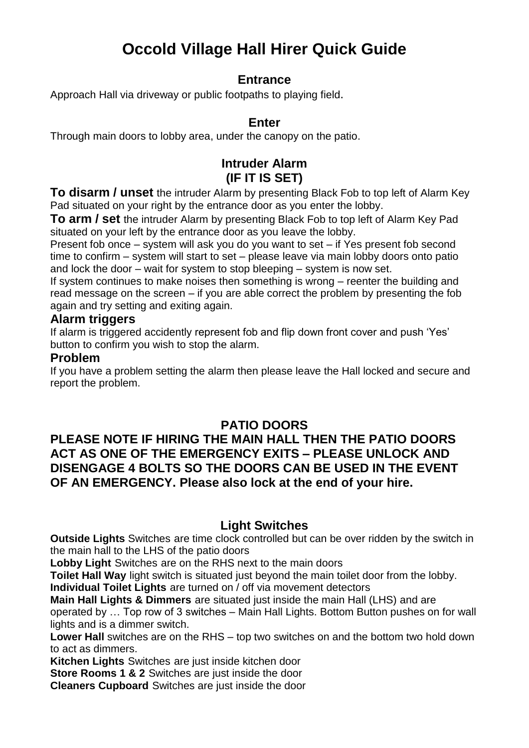# **Occold Village Hall Hirer Quick Guide**

#### **Entrance**

Approach Hall via driveway or public footpaths to playing field.

#### **Enter**

Through main doors to lobby area, under the canopy on the patio.

## **Intruder Alarm (IF IT IS SET)**

**To disarm / unset** the intruder Alarm by presenting Black Fob to top left of Alarm Key Pad situated on your right by the entrance door as you enter the lobby.

**To arm / set** the intruder Alarm by presenting Black Fob to top left of Alarm Key Pad situated on your left by the entrance door as you leave the lobby.

Present fob once – system will ask you do you want to set – if Yes present fob second time to confirm – system will start to set – please leave via main lobby doors onto patio and lock the door – wait for system to stop bleeping – system is now set.

If system continues to make noises then something is wrong – reenter the building and read message on the screen – if you are able correct the problem by presenting the fob again and try setting and exiting again.

#### **Alarm triggers**

If alarm is triggered accidently represent fob and flip down front cover and push 'Yes' button to confirm you wish to stop the alarm.

#### **Problem**

If you have a problem setting the alarm then please leave the Hall locked and secure and report the problem.

## **PATIO DOORS**

#### **PLEASE NOTE IF HIRING THE MAIN HALL THEN THE PATIO DOORS ACT AS ONE OF THE EMERGENCY EXITS – PLEASE UNLOCK AND DISENGAGE 4 BOLTS SO THE DOORS CAN BE USED IN THE EVENT OF AN EMERGENCY. Please also lock at the end of your hire.**

#### **Light Switches**

**Outside Lights** Switches are time clock controlled but can be over ridden by the switch in the main hall to the LHS of the patio doors

**Lobby Light** Switches are on the RHS next to the main doors

**Toilet Hall Way** light switch is situated just beyond the main toilet door from the lobby.

**Individual Toilet Lights** are turned on / off via movement detectors

**Main Hall Lights & Dimmers** are situated just inside the main Hall (LHS) and are

operated by … Top row of 3 switches – Main Hall Lights. Bottom Button pushes on for wall lights and is a dimmer switch.

**Lower Hall** switches are on the RHS – top two switches on and the bottom two hold down to act as dimmers.

**Kitchen Lights** Switches are just inside kitchen door

**Store Rooms 1 & 2** Switches are just inside the door

**Cleaners Cupboard** Switches are just inside the door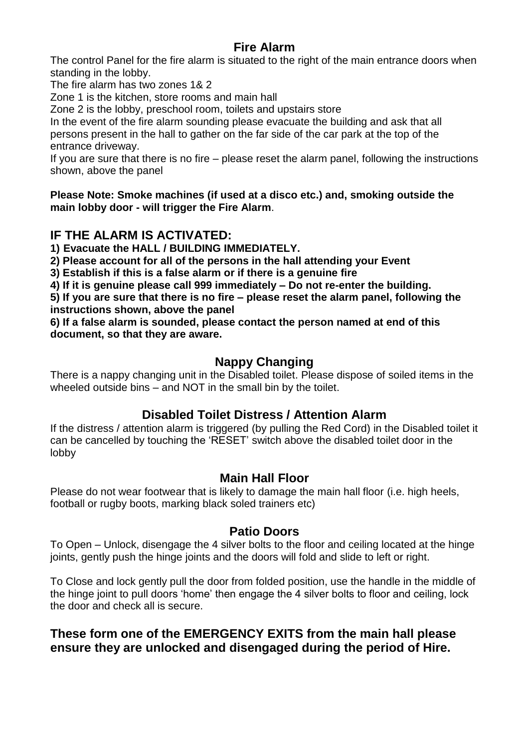# **Fire Alarm**

The control Panel for the fire alarm is situated to the right of the main entrance doors when standing in the lobby.

The fire alarm has two zones 1& 2

Zone 1 is the kitchen, store rooms and main hall

Zone 2 is the lobby, preschool room, toilets and upstairs store

In the event of the fire alarm sounding please evacuate the building and ask that all persons present in the hall to gather on the far side of the car park at the top of the entrance driveway.

If you are sure that there is no fire – please reset the alarm panel, following the instructions shown, above the panel

**Please Note: Smoke machines (if used at a disco etc.) and, smoking outside the main lobby door - will trigger the Fire Alarm**.

## **IF THE ALARM IS ACTIVATED:**

**1) Evacuate the HALL / BUILDING IMMEDIATELY.**

**2) Please account for all of the persons in the hall attending your Event**

**3) Establish if this is a false alarm or if there is a genuine fire**

**4) If it is genuine please call 999 immediately – Do not re-enter the building.**

**5) If you are sure that there is no fire – please reset the alarm panel, following the instructions shown, above the panel**

**6) If a false alarm is sounded, please contact the person named at end of this document, so that they are aware.**

## **Nappy Changing**

There is a nappy changing unit in the Disabled toilet. Please dispose of soiled items in the wheeled outside bins – and NOT in the small bin by the toilet.

# **Disabled Toilet Distress / Attention Alarm**

If the distress / attention alarm is triggered (by pulling the Red Cord) in the Disabled toilet it can be cancelled by touching the 'RESET' switch above the disabled toilet door in the lobby

## **Main Hall Floor**

Please do not wear footwear that is likely to damage the main hall floor (i.e. high heels, football or rugby boots, marking black soled trainers etc)

#### **Patio Doors**

To Open – Unlock, disengage the 4 silver bolts to the floor and ceiling located at the hinge joints, gently push the hinge joints and the doors will fold and slide to left or right.

To Close and lock gently pull the door from folded position, use the handle in the middle of the hinge joint to pull doors 'home' then engage the 4 silver bolts to floor and ceiling, lock the door and check all is secure.

## **These form one of the EMERGENCY EXITS from the main hall please ensure they are unlocked and disengaged during the period of Hire.**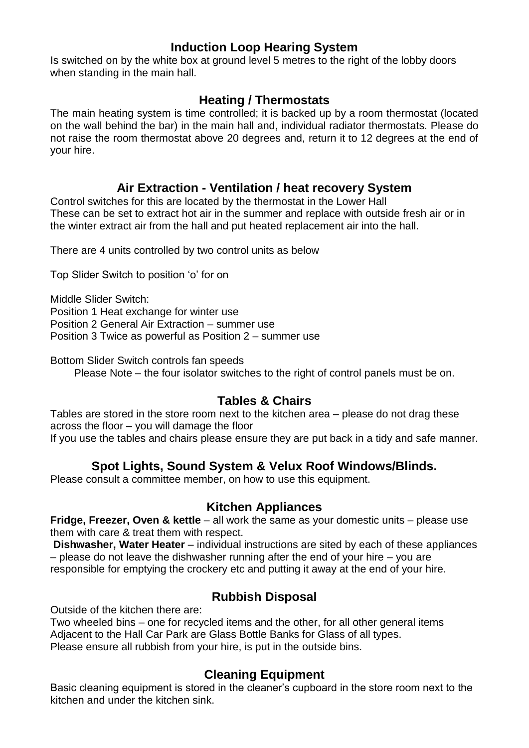#### **Induction Loop Hearing System**

Is switched on by the white box at ground level 5 metres to the right of the lobby doors when standing in the main hall.

#### **Heating / Thermostats**

The main heating system is time controlled; it is backed up by a room thermostat (located on the wall behind the bar) in the main hall and, individual radiator thermostats. Please do not raise the room thermostat above 20 degrees and, return it to 12 degrees at the end of your hire.

#### **Air Extraction - Ventilation / heat recovery System**

Control switches for this are located by the thermostat in the Lower Hall These can be set to extract hot air in the summer and replace with outside fresh air or in the winter extract air from the hall and put heated replacement air into the hall.

There are 4 units controlled by two control units as below

Top Slider Switch to position 'o' for on

Middle Slider Switch: Position 1 Heat exchange for winter use Position 2 General Air Extraction – summer use Position 3 Twice as powerful as Position 2 – summer use

Bottom Slider Switch controls fan speeds

Please Note – the four isolator switches to the right of control panels must be on.

# **Tables & Chairs**

Tables are stored in the store room next to the kitchen area – please do not drag these across the floor – you will damage the floor If you use the tables and chairs please ensure they are put back in a tidy and safe manner.

## **Spot Lights, Sound System & Velux Roof Windows/Blinds.**

Please consult a committee member, on how to use this equipment.

#### **Kitchen Appliances**

**Fridge, Freezer, Oven & kettle** – all work the same as your domestic units – please use them with care & treat them with respect.

**Dishwasher, Water Heater** – individual instructions are sited by each of these appliances – please do not leave the dishwasher running after the end of your hire – you are responsible for emptying the crockery etc and putting it away at the end of your hire.

## **Rubbish Disposal**

Outside of the kitchen there are:

Two wheeled bins – one for recycled items and the other, for all other general items Adjacent to the Hall Car Park are Glass Bottle Banks for Glass of all types. Please ensure all rubbish from your hire, is put in the outside bins.

## **Cleaning Equipment**

Basic cleaning equipment is stored in the cleaner's cupboard in the store room next to the kitchen and under the kitchen sink.